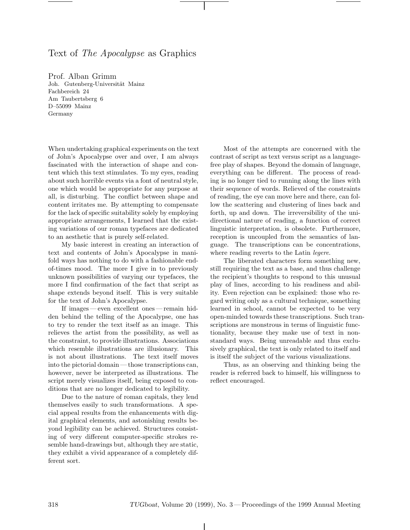#### Text of The Apocalypse as Graphics

Prof. Alban Grimm<br>Joh. Gutenberg-Universität Mainz Fachbereich 24 Am Taubertsberg 6 D-55099 Mainz  $C_{\alpha m \alpha n \nu}$ Germany

When undertaking graphical experiments on the text of John's Apocalypse over and over, I am always fascinated with the interaction of shape and content which this text stimulates. To my eyes, reading about such horrible events via a font of neutral style, one which would be appropriate for any purpose at all, is disturbing. The conflict between shape and content irritates me. By attempting to compensate for the lack of specific suitability solely by employing appropriate arrangements, I learned that the existing variations of our roman typefaces are dedicated to an aesthetic that is purely self-related.

My basic interest in creating an interaction of text and contents of John's Apocalypse in manifold ways has nothing to do with a fashionable endof-times mood. The more I give in to previously unknown possibilities of varying our typefaces, the more I find confirmation of the fact that script as shape extends beyond itself. This is very suitable for the text of John's Apocalypse.

If images— even excellent ones— remain hidden behind the telling of the Apocalypse, one has to try to render the text itself as an image. This relieves the artist from the possibility, as well as the constraint, to provide illustrations. Associations which resemble illustrations are illusionary. This is not about illustrations. The text itself moves into the pictorial domain — those transcriptions can, however, never be interpreted as illustrations. The script merely visualizes itself, being exposed to conditions that are no longer dedicated to legibility.

Due to the nature of roman capitals, they lend themselves easily to such transformations. A special appeal results from the enhancements with digital graphical elements, and astonishing results beyond legibility can be achieved. Structures consisting of very different computer-specific strokes resemble hand-drawings but, although they are static, they exhibit a vivid appearance of a completely different sort.

Most of the attempts are concerned with the contrast of script as text versus script as a languagefree play of shapes. Beyond the domain of language, everything can be different. The process of reading is no longer tied to running along the lines with their sequence of words. Relieved of the constraints of reading, the eye can move here and there, can follow the scattering and clustering of lines back and forth, up and down. The irreversibility of the unidirectional nature of reading, a function of correct linguistic interpretation, is obsolete. Furthermore, reception is uncoupled from the semantics of language. The transcriptions can be concentrations, where reading reverts to the Latin *legere*.

The liberated characters form something new, still requiring the text as a base, and thus challenge the recipient's thoughts to respond to this unusual play of lines, according to his readiness and ability. Even rejection can be explained: those who regard writing only as a cultural technique, something learned in school, cannot be expected to be very open-minded towards these transcriptions. Such transcriptions are monstrous in terms of linguistic functionality, because they make use of text in nonstandard ways. Being unreadable and thus exclusively graphical, the text is only related to itself and is itself the subject of the various visualizations.

Thus, as an observing and thinking being the reader is referred back to himself, his willingness to reflect encouraged.